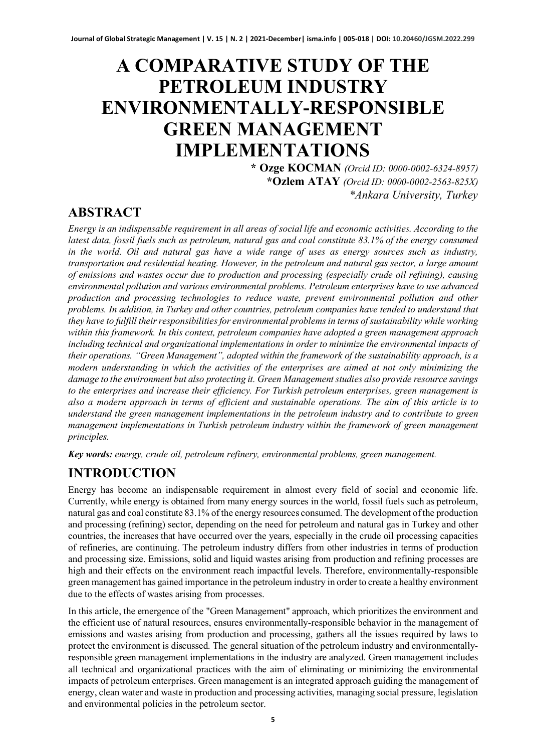# **A COMPARATIVE STUDY OF THE PETROLEUM INDUSTRY ENVIRONMENTALLY-RESPONSIBLE GREEN MANAGEMENT IMPLEMENTATIONS**

**\* Ozge KOCMAN** *(Orcid ID: 0000-0002-6324-8957)* **\*Ozlem ATAY** *(Orcid ID: 0000-0002-2563-825X) \*Ankara University, Turkey*

### **ABSTRACT**

*Energy is an indispensable requirement in all areas of social life and economic activities. According to the latest data, fossil fuels such as petroleum, natural gas and coal constitute 83.1% of the energy consumed in the world. Oil and natural gas have a wide range of uses as energy sources such as industry, transportation and residential heating. However, in the petroleum and natural gas sector, a large amount of emissions and wastes occur due to production and processing (especially crude oil refining), causing environmental pollution and various environmental problems. Petroleum enterprises have to use advanced production and processing technologies to reduce waste, prevent environmental pollution and other problems. In addition, in Turkey and other countries, petroleum companies have tended to understand that they have to fulfill their responsibilities for environmental problems in terms of sustainability while working within this framework. In this context, petroleum companies have adopted a green management approach including technical and organizational implementations in order to minimize the environmental impacts of their operations. "Green Management", adopted within the framework of the sustainability approach, is a modern understanding in which the activities of the enterprises are aimed at not only minimizing the damage to the environment but also protecting it. Green Management studies also provide resource savings to the enterprises and increase their efficiency. For Turkish petroleum enterprises, green management is also a modern approach in terms of efficient and sustainable operations. The aim of this article is to understand the green management implementations in the petroleum industry and to contribute to green management implementations in Turkish petroleum industry within the framework of green management principles.*

*Key words: energy, crude oil, petroleum refinery, environmental problems, green management.*

# **INTRODUCTION**

Energy has become an indispensable requirement in almost every field of social and economic life. Currently, while energy is obtained from many energy sources in the world, fossil fuels such as petroleum, natural gas and coal constitute 83.1% of the energy resources consumed. The development of the production and processing (refining) sector, depending on the need for petroleum and natural gas in Turkey and other countries, the increases that have occurred over the years, especially in the crude oil processing capacities of refineries, are continuing. The petroleum industry differs from other industries in terms of production and processing size. Emissions, solid and liquid wastes arising from production and refining processes are high and their effects on the environment reach impactful levels. Therefore, environmentally-responsible green management has gained importance in the petroleum industry in order to create a healthy environment due to the effects of wastes arising from processes.

In this article, the emergence of the "Green Management" approach, which prioritizes the environment and the efficient use of natural resources, ensures environmentally-responsible behavior in the management of emissions and wastes arising from production and processing, gathers all the issues required by laws to protect the environment is discussed. The general situation of the petroleum industry and environmentallyresponsible green management implementations in the industry are analyzed. Green management includes all technical and organizational practices with the aim of eliminating or minimizing the environmental impacts of petroleum enterprises. Green management is an integrated approach guiding the management of energy, clean water and waste in production and processing activities, managing social pressure, legislation and environmental policies in the petroleum sector.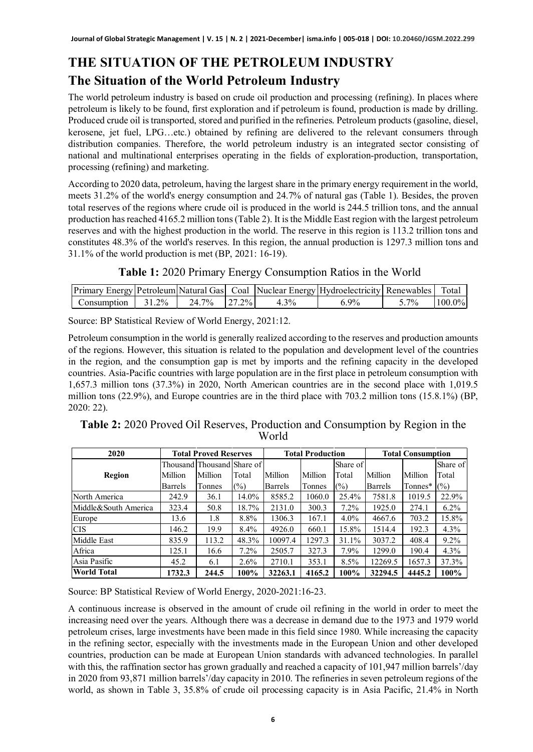# **THE SITUATION OF THE PETROLEUM INDUSTRY The Situation of the World Petroleum Industry**

The world petroleum industry is based on crude oil production and processing (refining). In places where petroleum is likely to be found, first exploration and if petroleum is found, production is made by drilling. Produced crude oil is transported, stored and purified in the refineries. Petroleum products (gasoline, diesel, kerosene, jet fuel, LPG…etc.) obtained by refining are delivered to the relevant consumers through distribution companies. Therefore, the world petroleum industry is an integrated sector consisting of national and multinational enterprises operating in the fields of exploration-production, transportation, processing (refining) and marketing.

According to 2020 data, petroleum, having the largest share in the primary energy requirement in the world, meets 31.2% of the world's energy consumption and 24.7% of natural gas (Table 1). Besides, the proven total reserves of the regions where crude oil is produced in the world is 244.5 trillion tons, and the annual production has reached 4165.2 million tons(Table 2). It is the Middle East region with the largest petroleum reserves and with the highest production in the world. The reserve in this region is 113.2 trillion tons and constitutes 48.3% of the world's reserves. In this region, the annual production is 1297.3 million tons and 31.1% of the world production is met (BP, 2021: 16-19).

| Table 1: 2020 Primary Energy Consumption Ratios in the World |  |  |  |  |  |
|--------------------------------------------------------------|--|--|--|--|--|
|--------------------------------------------------------------|--|--|--|--|--|

|             |        |       |          |         | <b>Primary Energy Petroleum Natural Gas   Coal   Nuclear Energy   Hydroelectricity   Renewables  </b> |         | Total     |
|-------------|--------|-------|----------|---------|-------------------------------------------------------------------------------------------------------|---------|-----------|
| Consumption | 31 2\% | 24.7% | $27.2\%$ | $4.3\%$ | $9\%$                                                                                                 | $5.7\%$ | $100.0\%$ |

Source: BP Statistical Review of World Energy, 2021:12.

Petroleum consumption in the world is generally realized according to the reserves and production amounts of the regions. However, this situation is related to the population and development level of the countries in the region, and the consumption gap is met by imports and the refining capacity in the developed countries. Asia-Pacific countries with large population are in the first place in petroleum consumption with 1,657.3 million tons (37.3%) in 2020, North American countries are in the second place with 1,019.5 million tons (22.9%), and Europe countries are in the third place with 703.2 million tons (15.8.1%) (BP, 2020: 22).

| Table 2: 2020 Proved Oil Reserves, Production and Consumption by Region in the |       |  |
|--------------------------------------------------------------------------------|-------|--|
|                                                                                | World |  |

| 2020                 |         | <b>Total Proved Reserves</b> |         |         | <b>Total Production</b> |          |                | <b>Total Consumption</b> |          |
|----------------------|---------|------------------------------|---------|---------|-------------------------|----------|----------------|--------------------------|----------|
|                      |         | Thousand Thousand Share of   |         |         |                         | Share of |                |                          | Share of |
| Region               | Million | Million                      | Total   | Million | Million                 | Total    | Million        | Million                  | Total    |
|                      | Barrels | Tonnes                       | $(\%)$  | Barrels | Tonnes                  | (%)      | <b>Barrels</b> | Tonnes*                  | (%)      |
| North America        | 242.9   | 36.1                         | 14.0%   | 8585.2  | 1060.0                  | 25.4%    | 7581.8         | 1019.5                   | 22.9%    |
| Middle&South America | 323.4   | 50.8                         | 18.7%   | 2131.0  | 300.3                   | $7.2\%$  | 1925.0         | 274.1                    | $6.2\%$  |
| Europe               | 13.6    | 1.8                          | 8.8%    | 1306.3  | 167.1                   | $4.0\%$  | 4667.6         | 703.2                    | 15.8%    |
| <b>CIS</b>           | 146.2   | 19.9                         | 8.4%    | 4926.0  | 660.1                   | 15.8%    | 1514.4         | 192.3                    | 4.3%     |
| Middle East          | 835.9   | 113.2                        | 48.3%   | 10097.4 | 1297.3                  | 31.1%    | 3037.2         | 408.4                    | $9.2\%$  |
| Africa               | 125.1   | 16.6                         | $7.2\%$ | 2505.7  | 327.3                   | $7.9\%$  | 1299.0         | 190.4                    | 4.3%     |
| Asia Pasific         | 45.2    | 6.1                          | $2.6\%$ | 2710.1  | 353.1                   | $8.5\%$  | 12269.5        | 1657.3                   | 37.3%    |
| <b>World Total</b>   | 1732.3  | 244.5                        | $100\%$ | 32263.1 | 4165.2                  | 100%     | 32294.5        | 4445.2                   | 100%     |

Source: BP Statistical Review of World Energy, 2020-2021:16-23.

A continuous increase is observed in the amount of crude oil refining in the world in order to meet the increasing need over the years. Although there was a decrease in demand due to the 1973 and 1979 world petroleum crises, large investments have been made in this field since 1980. While increasing the capacity in the refining sector, especially with the investments made in the European Union and other developed countries, production can be made at European Union standards with advanced technologies. In parallel with this, the raffination sector has grown gradually and reached a capacity of 101,947 million barrels'/day in 2020 from 93,871 million barrels'/day capacity in 2010. The refineries in seven petroleum regions of the world, as shown in Table 3, 35.8% of crude oil processing capacity is in Asia Pacific, 21.4% in North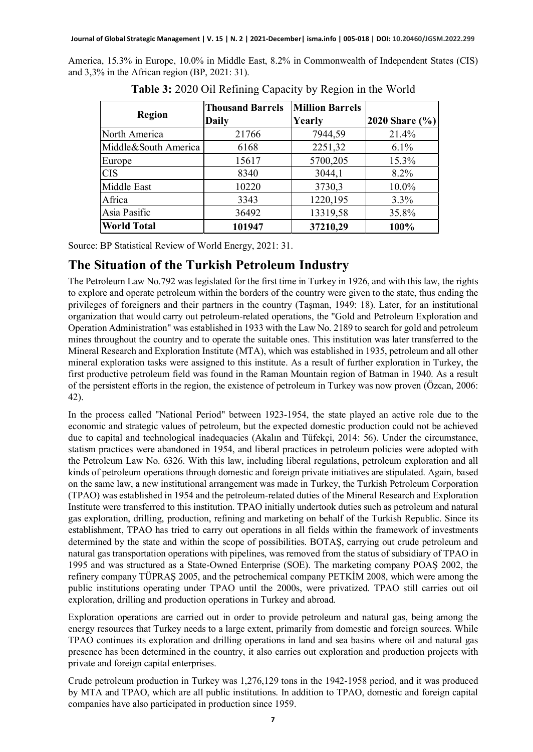America, 15.3% in Europe, 10.0% in Middle East, 8.2% in Commonwealth of Independent States (CIS) and 3,3% in the African region (BP, 2021: 31).

| Region               | <b>Thousand Barrels</b><br>Daily | <b>Million Barrels</b><br>Yearly | 2020 Share (%) |
|----------------------|----------------------------------|----------------------------------|----------------|
| North America        | 21766                            | 7944,59                          | 21.4%          |
| Middle&South America | 6168                             | 2251,32                          | $6.1\%$        |
| Europe               | 15617                            | 5700,205                         | 15.3%          |
| <b>CIS</b>           | 8340                             | 3044,1                           | $8.2\%$        |
| Middle East          | 10220                            | 3730,3                           | 10.0%          |
| Africa               | 3343                             | 1220,195                         | 3.3%           |
| Asia Pasific         | 36492                            | 13319,58                         | 35.8%          |
| <b>World Total</b>   | 101947                           | 37210,29                         | 100%           |

**Table 3:** 2020 Oil Refining Capacity by Region in the World

Source: BP Statistical Review of World Energy, 2021: 31.

#### **The Situation of the Turkish Petroleum Industry**

The Petroleum Law No.792 was legislated for the first time in Turkey in 1926, and with this law, the rights to explore and operate petroleum within the borders of the country were given to the state, thus ending the privileges of foreigners and their partners in the country (Taşman, 1949: 18). Later, for an institutional organization that would carry out petroleum-related operations, the "Gold and Petroleum Exploration and Operation Administration" was established in 1933 with the Law No. 2189 to search for gold and petroleum mines throughout the country and to operate the suitable ones. This institution was later transferred to the Mineral Research and Exploration Institute (MTA), which was established in 1935, petroleum and all other mineral exploration tasks were assigned to this institute. As a result of further exploration in Turkey, the first productive petroleum field was found in the Raman Mountain region of Batman in 1940. As a result of the persistent efforts in the region, the existence of petroleum in Turkey was now proven (Özcan, 2006: 42).

In the process called "National Period" between 1923-1954, the state played an active role due to the economic and strategic values of petroleum, but the expected domestic production could not be achieved due to capital and technological inadequacies (Akalın and Tüfekçi, 2014: 56). Under the circumstance, statism practices were abandoned in 1954, and liberal practices in petroleum policies were adopted with the Petroleum Law No. 6326. With this law, including liberal regulations, petroleum exploration and all kinds of petroleum operations through domestic and foreign private initiatives are stipulated. Again, based on the same law, a new institutional arrangement was made in Turkey, the Turkish Petroleum Corporation (TPAO) was established in 1954 and the petroleum-related duties of the Mineral Research and Exploration Institute were transferred to this institution. TPAO initially undertook duties such as petroleum and natural gas exploration, drilling, production, refining and marketing on behalf of the Turkish Republic. Since its establishment, TPAO has tried to carry out operations in all fields within the framework of investments determined by the state and within the scope of possibilities. BOTAŞ, carrying out crude petroleum and natural gas transportation operations with pipelines, was removed from the status of subsidiary of TPAO in 1995 and was structured as a State-Owned Enterprise (SOE). The marketing company POAŞ 2002, the refinery company TÜPRAŞ 2005, and the petrochemical company PETKİM 2008, which were among the public institutions operating under TPAO until the 2000s, were privatized. TPAO still carries out oil exploration, drilling and production operations in Turkey and abroad.

Exploration operations are carried out in order to provide petroleum and natural gas, being among the energy resources that Turkey needs to a large extent, primarily from domestic and foreign sources. While TPAO continues its exploration and drilling operations in land and sea basins where oil and natural gas presence has been determined in the country, it also carries out exploration and production projects with private and foreign capital enterprises.

Crude petroleum production in Turkey was 1,276,129 tons in the 1942-1958 period, and it was produced by MTA and TPAO, which are all public institutions. In addition to TPAO, domestic and foreign capital companies have also participated in production since 1959.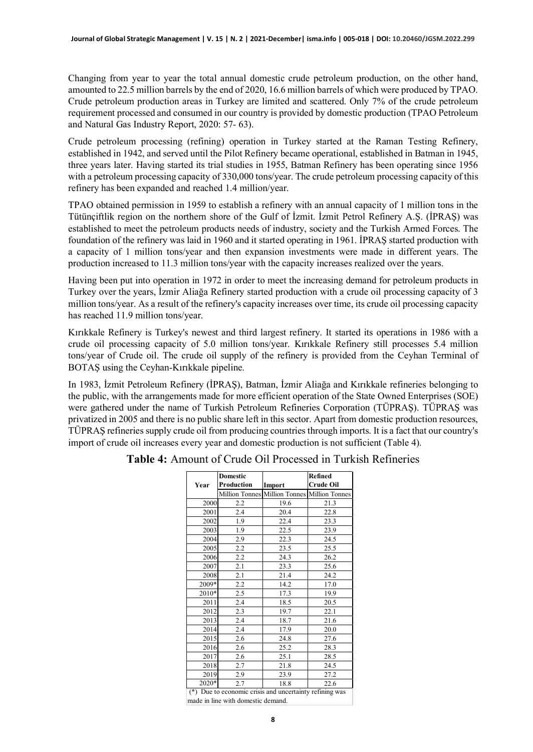Changing from year to year the total annual domestic crude petroleum production, on the other hand, amounted to 22.5 million barrels by the end of 2020, 16.6 million barrels of which were produced by TPAO. Crude petroleum production areas in Turkey are limited and scattered. Only 7% of the crude petroleum requirement processed and consumed in our country is provided by domestic production (TPAO Petroleum and Natural Gas Industry Report, 2020: 57- 63).

Crude petroleum processing (refining) operation in Turkey started at the Raman Testing Refinery, established in 1942, and served until the Pilot Refinery became operational, established in Batman in 1945, three years later. Having started its trial studies in 1955, Batman Refinery has been operating since 1956 with a petroleum processing capacity of 330,000 tons/year. The crude petroleum processing capacity of this refinery has been expanded and reached 1.4 million/year.

TPAO obtained permission in 1959 to establish a refinery with an annual capacity of 1 million tons in the Tütünçiftlik region on the northern shore of the Gulf of İzmit. İzmit Petrol Refinery A.Ş. (İPRAŞ) was established to meet the petroleum products needs of industry, society and the Turkish Armed Forces. The foundation of the refinery was laid in 1960 and it started operating in 1961. İPRAŞ started production with a capacity of 1 million tons/year and then expansion investments were made in different years. The production increased to 11.3 million tons/year with the capacity increases realized over the years.

Having been put into operation in 1972 in order to meet the increasing demand for petroleum products in Turkey over the years, İzmir Aliağa Refinery started production with a crude oil processing capacity of 3 million tons/year. As a result of the refinery's capacity increases over time, its crude oil processing capacity has reached 11.9 million tons/year.

Kırıkkale Refinery is Turkey's newest and third largest refinery. It started its operations in 1986 with a crude oil processing capacity of 5.0 million tons/year. Kırıkkale Refinery still processes 5.4 million tons/year of Crude oil. The crude oil supply of the refinery is provided from the Ceyhan Terminal of BOTAŞ using the Ceyhan-Kırıkkale pipeline.

In 1983, İzmit Petroleum Refinery (İPRAŞ), Batman, İzmir Aliağa and Kırıkkale refineries belonging to the public, with the arrangements made for more efficient operation of the State Owned Enterprises (SOE) were gathered under the name of Turkish Petroleum Refineries Corporation (TÜPRAŞ). TÜPRAŞ was privatized in 2005 and there is no public share left in this sector. Apart from domestic production resources, TÜPRAŞ refineries supply crude oil from producing countries through imports. It is a fact that our country's import of crude oil increases every year and domestic production is not sufficient (Table 4).

|       | Domestic                                            |                                              | Refined          |  |  |  |  |
|-------|-----------------------------------------------------|----------------------------------------------|------------------|--|--|--|--|
| Year  | Production                                          | Import                                       | <b>Crude Oil</b> |  |  |  |  |
|       |                                                     | Million Tonnes Million Tonnes Million Tonnes |                  |  |  |  |  |
| 2000  | 2.2                                                 | 19.6                                         | 21.3             |  |  |  |  |
| 2001  | 2.4                                                 | 20.4                                         | 22.8             |  |  |  |  |
| 2002  | 1.9                                                 | 22.4                                         | 23.3             |  |  |  |  |
| 2003  | 1.9                                                 | 22.5                                         | 23.9             |  |  |  |  |
| 2004  | 2.9                                                 | 22.3                                         | 24.5             |  |  |  |  |
| 2005  | 2.2                                                 | 23.5                                         | 25.5             |  |  |  |  |
| 2006  | 2.2                                                 | 24.3                                         | 26.2             |  |  |  |  |
| 2007  | 2.1                                                 | 23.3                                         | 25.6             |  |  |  |  |
| 2008  | 2.1                                                 | 21.4                                         | 24.2             |  |  |  |  |
| 2009* | 2.2                                                 | 14.2                                         | 17.0             |  |  |  |  |
| 2010* | 2.5                                                 | 17.3                                         | 19.9             |  |  |  |  |
| 2011  | 2.4                                                 | 18.5                                         | 20.5             |  |  |  |  |
| 2012  | 2.3                                                 | 19.7                                         | 22.1             |  |  |  |  |
| 2013  | 2.4                                                 | 18.7                                         | 21.6             |  |  |  |  |
| 2014  | 2.4                                                 | 17.9                                         | 20.0             |  |  |  |  |
| 2015  | 2.6                                                 | 24.8                                         | 27.6             |  |  |  |  |
| 2016  | 2.6                                                 | 25.2                                         | 28.3             |  |  |  |  |
| 2017  | 2.6                                                 | 25.1                                         | 28.5             |  |  |  |  |
| 2018  | 2.7                                                 | 21.8                                         | 24.5             |  |  |  |  |
| 2019  | 2.9                                                 | 23.9                                         | 27.2             |  |  |  |  |
| 2020* | 2.7                                                 | 18.8                                         | 22.6             |  |  |  |  |
| $(*)$ | Due to economic crisis and uncertainty refining was |                                              |                  |  |  |  |  |

**Table 4:** Amount of Crude Oil Processed in Turkish Refineries

made in line with domestic demand.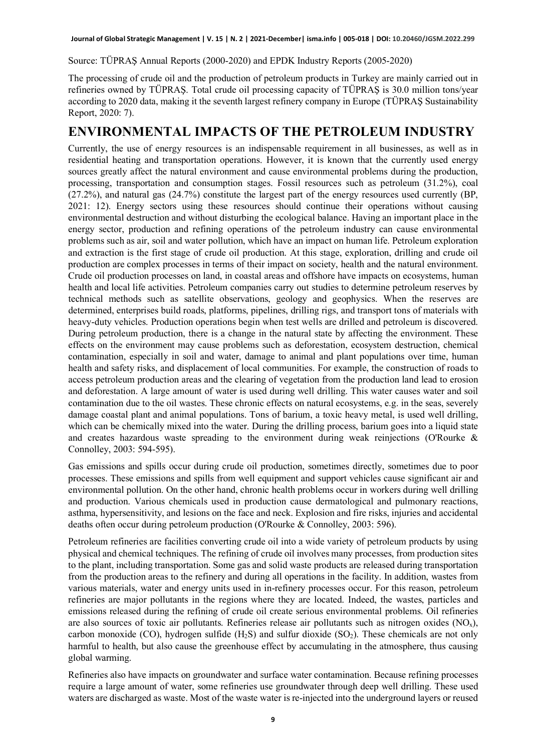Source: TÜPRAŞ Annual Reports (2000-2020) and EPDK Industry Reports (2005-2020)

The processing of crude oil and the production of petroleum products in Turkey are mainly carried out in refineries owned by TÜPRAŞ. Total crude oil processing capacity of TÜPRAŞ is 30.0 million tons/year according to 2020 data, making it the seventh largest refinery company in Europe (TÜPRAŞ Sustainability Report, 2020: 7).

#### **ENVIRONMENTAL IMPACTS OF THE PETROLEUM INDUSTRY**

Currently, the use of energy resources is an indispensable requirement in all businesses, as well as in residential heating and transportation operations. However, it is known that the currently used energy sources greatly affect the natural environment and cause environmental problems during the production, processing, transportation and consumption stages. Fossil resources such as petroleum (31.2%), coal (27.2%), and natural gas (24.7%) constitute the largest part of the energy resources used currently (BP, 2021: 12). Energy sectors using these resources should continue their operations without causing environmental destruction and without disturbing the ecological balance. Having an important place in the energy sector, production and refining operations of the petroleum industry can cause environmental problems such as air, soil and water pollution, which have an impact on human life. Petroleum exploration and extraction is the first stage of crude oil production. At this stage, exploration, drilling and crude oil production are complex processes in terms of their impact on society, health and the natural environment. Crude oil production processes on land, in coastal areas and offshore have impacts on ecosystems, human health and local life activities. Petroleum companies carry out studies to determine petroleum reserves by technical methods such as satellite observations, geology and geophysics. When the reserves are determined, enterprises build roads, platforms, pipelines, drilling rigs, and transport tons of materials with heavy-duty vehicles. Production operations begin when test wells are drilled and petroleum is discovered. During petroleum production, there is a change in the natural state by affecting the environment. These effects on the environment may cause problems such as deforestation, ecosystem destruction, chemical contamination, especially in soil and water, damage to animal and plant populations over time, human health and safety risks, and displacement of local communities. For example, the construction of roads to access petroleum production areas and the clearing of vegetation from the production land lead to erosion and deforestation. A large amount of water is used during well drilling. This water causes water and soil contamination due to the oil wastes. These chronic effects on natural ecosystems, e.g. in the seas, severely damage coastal plant and animal populations. Tons of barium, a toxic heavy metal, is used well drilling, which can be chemically mixed into the water. During the drilling process, barium goes into a liquid state and creates hazardous waste spreading to the environment during weak reinjections (O'Rourke & Connolley, 2003: 594-595).

Gas emissions and spills occur during crude oil production, sometimes directly, sometimes due to poor processes. These emissions and spills from well equipment and support vehicles cause significant air and environmental pollution. On the other hand, chronic health problems occur in workers during well drilling and production. Various chemicals used in production cause dermatological and pulmonary reactions, asthma, hypersensitivity, and lesions on the face and neck. Explosion and fire risks, injuries and accidental deaths often occur during petroleum production (O'Rourke & Connolley, 2003: 596).

Petroleum refineries are facilities converting crude oil into a wide variety of petroleum products by using physical and chemical techniques. The refining of crude oil involves many processes, from production sites to the plant, including transportation. Some gas and solid waste products are released during transportation from the production areas to the refinery and during all operations in the facility. In addition, wastes from various materials, water and energy units used in in-refinery processes occur. For this reason, petroleum refineries are major pollutants in the regions where they are located. Indeed, the wastes, particles and emissions released during the refining of crude oil create serious environmental problems. Oil refineries are also sources of toxic air pollutants. Refineries release air pollutants such as nitrogen oxides  $(NO<sub>x</sub>)$ , carbon monoxide (CO), hydrogen sulfide  $(H_2S)$  and sulfur dioxide  $(SO_2)$ . These chemicals are not only harmful to health, but also cause the greenhouse effect by accumulating in the atmosphere, thus causing global warming.

Refineries also have impacts on groundwater and surface water contamination. Because refining processes require a large amount of water, some refineries use groundwater through deep well drilling. These used waters are discharged as waste. Most of the waste water is re-injected into the underground layers or reused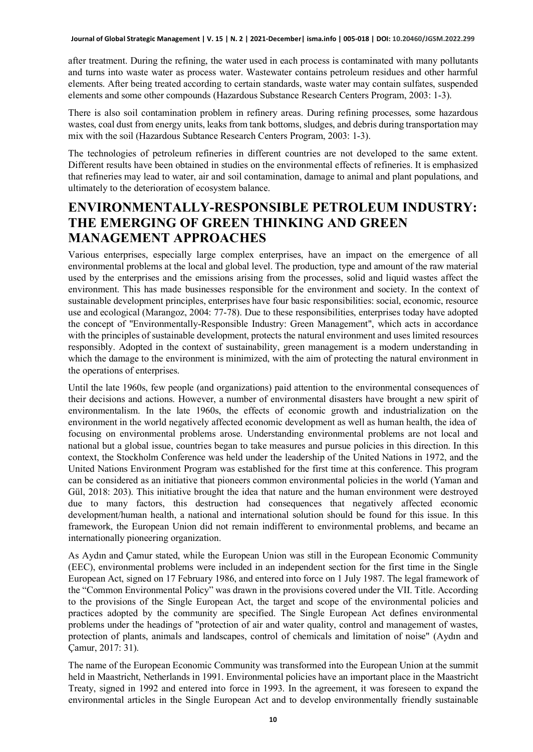after treatment. During the refining, the water used in each process is contaminated with many pollutants and turns into waste water as process water. Wastewater contains petroleum residues and other harmful elements. After being treated according to certain standards, waste water may contain sulfates, suspended elements and some other compounds (Hazardous Substance Research Centers Program, 2003: 1-3).

There is also soil contamination problem in refinery areas. During refining processes, some hazardous wastes, coal dust from energy units, leaks from tank bottoms, sludges, and debris during transportation may mix with the soil (Hazardous Subtance Research Centers Program, 2003: 1-3).

The technologies of petroleum refineries in different countries are not developed to the same extent. Different results have been obtained in studies on the environmental effects of refineries. It is emphasized that refineries may lead to water, air and soil contamination, damage to animal and plant populations, and ultimately to the deterioration of ecosystem balance.

### **ENVIRONMENTALLY-RESPONSIBLE PETROLEUM INDUSTRY: THE EMERGING OF GREEN THINKING AND GREEN MANAGEMENT APPROACHES**

Various enterprises, especially large complex enterprises, have an impact on the emergence of all environmental problems at the local and global level. The production, type and amount of the raw material used by the enterprises and the emissions arising from the processes, solid and liquid wastes affect the environment. This has made businesses responsible for the environment and society. In the context of sustainable development principles, enterprises have four basic responsibilities: social, economic, resource use and ecological (Marangoz, 2004: 77-78). Due to these responsibilities, enterprises today have adopted the concept of "Environmentally-Responsible Industry: Green Management", which acts in accordance with the principles of sustainable development, protects the natural environment and uses limited resources responsibly. Adopted in the context of sustainability, green management is a modern understanding in which the damage to the environment is minimized, with the aim of protecting the natural environment in the operations of enterprises.

Until the late 1960s, few people (and organizations) paid attention to the environmental consequences of their decisions and actions. However, a number of environmental disasters have brought a new spirit of environmentalism. In the late 1960s, the effects of economic growth and industrialization on the environment in the world negatively affected economic development as well as human health, the idea of focusing on environmental problems arose. Understanding environmental problems are not local and national but a global issue, countries began to take measures and pursue policies in this direction. In this context, the Stockholm Conference was held under the leadership of the United Nations in 1972, and the United Nations Environment Program was established for the first time at this conference. This program can be considered as an initiative that pioneers common environmental policies in the world (Yaman and Gül, 2018: 203). This initiative brought the idea that nature and the human environment were destroyed due to many factors, this destruction had consequences that negatively affected economic development/human health, a national and international solution should be found for this issue. In this framework, the European Union did not remain indifferent to environmental problems, and became an internationally pioneering organization.

As Aydın and Çamur stated, while the European Union was still in the European Economic Community (EEC), environmental problems were included in an independent section for the first time in the Single European Act, signed on 17 February 1986, and entered into force on 1 July 1987. The legal framework of the "Common Environmental Policy" was drawn in the provisions covered under the VII. Title. According to the provisions of the Single European Act, the target and scope of the environmental policies and practices adopted by the community are specified. The Single European Act defines environmental problems under the headings of "protection of air and water quality, control and management of wastes, protection of plants, animals and landscapes, control of chemicals and limitation of noise" (Aydın and Çamur, 2017: 31).

The name of the European Economic Community was transformed into the European Union at the summit held in Maastricht, Netherlands in 1991. Environmental policies have an important place in the Maastricht Treaty, signed in 1992 and entered into force in 1993. In the agreement, it was foreseen to expand the environmental articles in the Single European Act and to develop environmentally friendly sustainable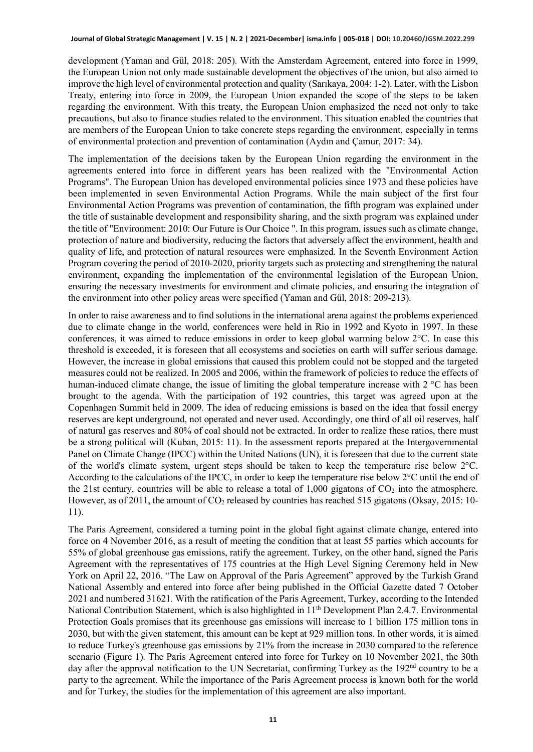development (Yaman and Gül, 2018: 205). With the Amsterdam Agreement, entered into force in 1999, the European Union not only made sustainable development the objectives of the union, but also aimed to improve the high level of environmental protection and quality (Sarıkaya, 2004: 1-2). Later, with the Lisbon Treaty, entering into force in 2009, the European Union expanded the scope of the steps to be taken regarding the environment. With this treaty, the European Union emphasized the need not only to take precautions, but also to finance studies related to the environment. This situation enabled the countries that are members of the European Union to take concrete steps regarding the environment, especially in terms of environmental protection and prevention of contamination (Aydın and Çamur, 2017: 34).

The implementation of the decisions taken by the European Union regarding the environment in the agreements entered into force in different years has been realized with the "Environmental Action Programs". The European Union has developed environmental policies since 1973 and these policies have been implemented in seven Environmental Action Programs. While the main subject of the first four Environmental Action Programs was prevention of contamination, the fifth program was explained under the title of sustainable development and responsibility sharing, and the sixth program was explained under the title of "Environment: 2010: Our Future is Our Choice ". In this program, issues such as climate change, protection of nature and biodiversity, reducing the factors that adversely affect the environment, health and quality of life, and protection of natural resources were emphasized. In the Seventh Environment Action Program covering the period of 2010-2020, priority targets such as protecting and strengthening the natural environment, expanding the implementation of the environmental legislation of the European Union, ensuring the necessary investments for environment and climate policies, and ensuring the integration of the environment into other policy areas were specified (Yaman and Gül, 2018: 209-213).

In order to raise awareness and to find solutions in the international arena against the problems experienced due to climate change in the world, conferences were held in Rio in 1992 and Kyoto in 1997. In these conferences, it was aimed to reduce emissions in order to keep global warming below 2°C. In case this threshold is exceeded, it is foreseen that all ecosystems and societies on earth will suffer serious damage. However, the increase in global emissions that caused this problem could not be stopped and the targeted measures could not be realized. In 2005 and 2006, within the framework of policies to reduce the effects of human-induced climate change, the issue of limiting the global temperature increase with 2 °C has been brought to the agenda. With the participation of 192 countries, this target was agreed upon at the Copenhagen Summit held in 2009. The idea of reducing emissions is based on the idea that fossil energy reserves are kept underground, not operated and never used. Accordingly, one third of all oil reserves, half of natural gas reserves and 80% of coal should not be extracted. In order to realize these ratios, there must be a strong political will (Kuban, 2015: 11). In the assessment reports prepared at the Intergovernmental Panel on Climate Change (IPCC) within the United Nations (UN), it is foreseen that due to the current state of the world's climate system, urgent steps should be taken to keep the temperature rise below 2°C. According to the calculations of the IPCC, in order to keep the temperature rise below 2°C until the end of the 21st century, countries will be able to release a total of  $1,000$  gigatons of  $CO<sub>2</sub>$  into the atmosphere. However, as of 2011, the amount of  $CO<sub>2</sub>$  released by countries has reached 515 gigatons (Oksay, 2015: 10-11).

The Paris Agreement, considered a turning point in the global fight against climate change, entered into force on 4 November 2016, as a result of meeting the condition that at least 55 parties which accounts for 55% of global greenhouse gas emissions, ratify the agreement. Turkey, on the other hand, signed the Paris Agreement with the representatives of 175 countries at the High Level Signing Ceremony held in New York on April 22, 2016. "The Law on Approval of the Paris Agreement" approved by the Turkish Grand National Assembly and entered into force after being published in the Official Gazette dated 7 October 2021 and numbered 31621. With the ratification of the Paris Agreement, Turkey, according to the Intended National Contribution Statement, which is also highlighted in 11<sup>th</sup> Development Plan 2.4.7. Environmental Protection Goals promises that its greenhouse gas emissions will increase to 1 billion 175 million tons in 2030, but with the given statement, this amount can be kept at 929 million tons. In other words, it is aimed to reduce Turkey's greenhouse gas emissions by 21% from the increase in 2030 compared to the reference scenario (Figure 1). The Paris Agreement entered into force for Turkey on 10 November 2021, the 30th day after the approval notification to the UN Secretariat, confirming Turkey as the 192<sup>nd</sup> country to be a party to the agreement. While the importance of the Paris Agreement process is known both for the world and for Turkey, the studies for the implementation of this agreement are also important.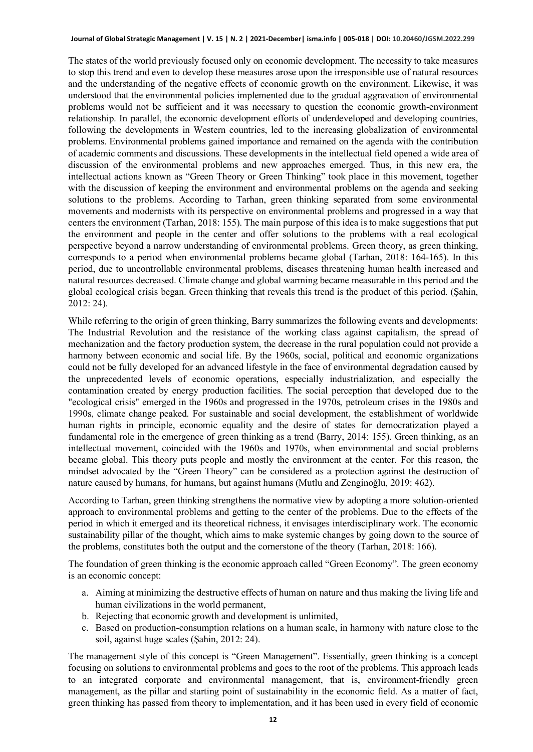#### **Journal of Global Strategic Management | V. 15 | N. 2 | 2021-December| isma.info | 005-018 | DOI: 10.20460/JGSM.2022.299**

The states of the world previously focused only on economic development. The necessity to take measures to stop this trend and even to develop these measures arose upon the irresponsible use of natural resources and the understanding of the negative effects of economic growth on the environment. Likewise, it was understood that the environmental policies implemented due to the gradual aggravation of environmental problems would not be sufficient and it was necessary to question the economic growth-environment relationship. In parallel, the economic development efforts of underdeveloped and developing countries, following the developments in Western countries, led to the increasing globalization of environmental problems. Environmental problems gained importance and remained on the agenda with the contribution of academic comments and discussions. These developments in the intellectual field opened a wide area of discussion of the environmental problems and new approaches emerged. Thus, in this new era, the intellectual actions known as "Green Theory or Green Thinking" took place in this movement, together with the discussion of keeping the environment and environmental problems on the agenda and seeking solutions to the problems. According to Tarhan, green thinking separated from some environmental movements and modernists with its perspective on environmental problems and progressed in a way that centers the environment (Tarhan, 2018: 155). The main purpose of this idea is to make suggestions that put the environment and people in the center and offer solutions to the problems with a real ecological perspective beyond a narrow understanding of environmental problems. Green theory, as green thinking, corresponds to a period when environmental problems became global (Tarhan, 2018: 164-165). In this period, due to uncontrollable environmental problems, diseases threatening human health increased and natural resources decreased. Climate change and global warming became measurable in this period and the global ecological crisis began. Green thinking that reveals this trend is the product of this period. (Şahin, 2012: 24).

While referring to the origin of green thinking, Barry summarizes the following events and developments: The Industrial Revolution and the resistance of the working class against capitalism, the spread of mechanization and the factory production system, the decrease in the rural population could not provide a harmony between economic and social life. By the 1960s, social, political and economic organizations could not be fully developed for an advanced lifestyle in the face of environmental degradation caused by the unprecedented levels of economic operations, especially industrialization, and especially the contamination created by energy production facilities. The social perception that developed due to the "ecological crisis" emerged in the 1960s and progressed in the 1970s, petroleum crises in the 1980s and 1990s, climate change peaked. For sustainable and social development, the establishment of worldwide human rights in principle, economic equality and the desire of states for democratization played a fundamental role in the emergence of green thinking as a trend (Barry, 2014: 155). Green thinking, as an intellectual movement, coincided with the 1960s and 1970s, when environmental and social problems became global. This theory puts people and mostly the environment at the center. For this reason, the mindset advocated by the "Green Theory" can be considered as a protection against the destruction of nature caused by humans, for humans, but against humans (Mutlu and Zenginoğlu, 2019: 462).

According to Tarhan, green thinking strengthens the normative view by adopting a more solution-oriented approach to environmental problems and getting to the center of the problems. Due to the effects of the period in which it emerged and its theoretical richness, it envisages interdisciplinary work. The economic sustainability pillar of the thought, which aims to make systemic changes by going down to the source of the problems, constitutes both the output and the cornerstone of the theory (Tarhan, 2018: 166).

The foundation of green thinking is the economic approach called "Green Economy". The green economy is an economic concept:

- a. Aiming at minimizing the destructive effects of human on nature and thus making the living life and human civilizations in the world permanent,
- b. Rejecting that economic growth and development is unlimited,
- c. Based on production-consumption relations on a human scale, in harmony with nature close to the soil, against huge scales (Şahin, 2012: 24).

The management style of this concept is "Green Management". Essentially, green thinking is a concept focusing on solutions to environmental problems and goes to the root of the problems. This approach leads to an integrated corporate and environmental management, that is, environment-friendly green management, as the pillar and starting point of sustainability in the economic field. As a matter of fact, green thinking has passed from theory to implementation, and it has been used in every field of economic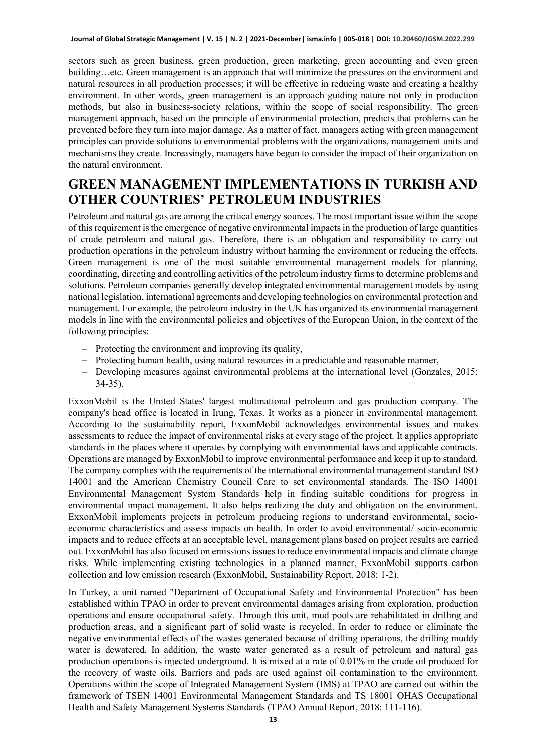sectors such as green business, green production, green marketing, green accounting and even green building…etc. Green management is an approach that will minimize the pressures on the environment and natural resources in all production processes; it will be effective in reducing waste and creating a healthy environment. In other words, green management is an approach guiding nature not only in production methods, but also in business-society relations, within the scope of social responsibility. The green management approach, based on the principle of environmental protection, predicts that problems can be prevented before they turn into major damage. As a matter of fact, managers acting with green management principles can provide solutions to environmental problems with the organizations, management units and mechanisms they create. Increasingly, managers have begun to consider the impact of their organization on the natural environment.

# **GREEN MANAGEMENT IMPLEMENTATIONS IN TURKISH AND OTHER COUNTRIES' PETROLEUM INDUSTRIES**

Petroleum and natural gas are among the critical energy sources. The most important issue within the scope of this requirement is the emergence of negative environmental impacts in the production of large quantities of crude petroleum and natural gas. Therefore, there is an obligation and responsibility to carry out production operations in the petroleum industry without harming the environment or reducing the effects. Green management is one of the most suitable environmental management models for planning, coordinating, directing and controlling activities of the petroleum industry firms to determine problems and solutions. Petroleum companies generally develop integrated environmental management models by using national legislation, international agreements and developing technologies on environmental protection and management. For example, the petroleum industry in the UK has organized its environmental management models in line with the environmental policies and objectives of the European Union, in the context of the following principles:

- − Protecting the environment and improving its quality,
- − Protecting human health, using natural resources in a predictable and reasonable manner,
- − Developing measures against environmental problems at the international level (Gonzales, 2015: 34-35).

ExxonMobil is the United States' largest multinational petroleum and gas production company. The company's head office is located in Irung, Texas. It works as a pioneer in environmental management. According to the sustainability report, ExxonMobil acknowledges environmental issues and makes assessments to reduce the impact of environmental risks at every stage of the project. It applies appropriate standards in the places where it operates by complying with environmental laws and applicable contracts. Operations are managed by ExxonMobil to improve environmental performance and keep it up to standard. The company complies with the requirements of the international environmental management standard ISO 14001 and the American Chemistry Council Care to set environmental standards. The ISO 14001 Environmental Management System Standards help in finding suitable conditions for progress in environmental impact management. It also helps realizing the duty and obligation on the environment. ExxonMobil implements projects in petroleum producing regions to understand environmental, socioeconomic characteristics and assess impacts on health. In order to avoid environmental/ socio-economic impacts and to reduce effects at an acceptable level, management plans based on project results are carried out. ExxonMobil has also focused on emissions issues to reduce environmental impacts and climate change risks. While implementing existing technologies in a planned manner, ExxonMobil supports carbon collection and low emission research (ExxonMobil, Sustainability Report, 2018: 1-2).

In Turkey, a unit named "Department of Occupational Safety and Environmental Protection" has been established within TPAO in order to prevent environmental damages arising from exploration, production operations and ensure occupational safety. Through this unit, mud pools are rehabilitated in drilling and production areas, and a significant part of solid waste is recycled. In order to reduce or eliminate the negative environmental effects of the wastes generated because of drilling operations, the drilling muddy water is dewatered. In addition, the waste water generated as a result of petroleum and natural gas production operations is injected underground. It is mixed at a rate of 0.01% in the crude oil produced for the recovery of waste oils. Barriers and pads are used against oil contamination to the environment. Operations within the scope of Integrated Management System (IMS) at TPAO are carried out within the framework of TSEN 14001 Environmental Management Standards and TS 18001 OHAS Occupational Health and Safety Management Systems Standards (TPAO Annual Report, 2018: 111-116).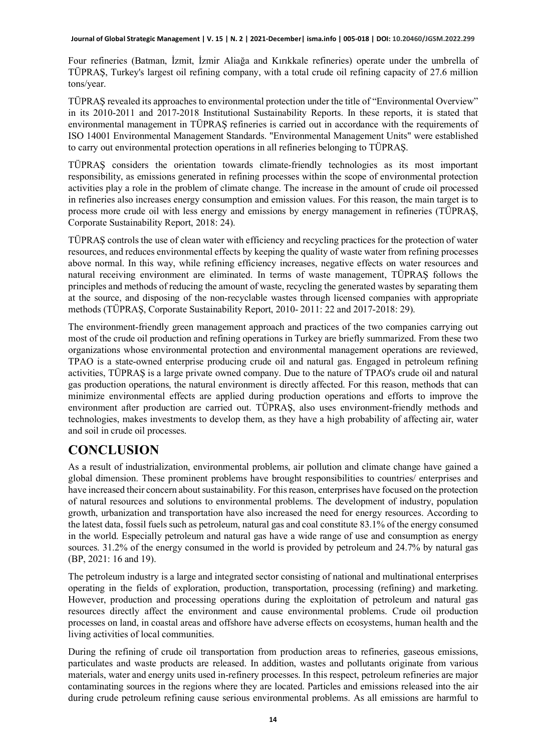Four refineries (Batman, İzmit, İzmir Aliağa and Kırıkkale refineries) operate under the umbrella of TÜPRAŞ, Turkey's largest oil refining company, with a total crude oil refining capacity of 27.6 million tons/year.

TÜPRAŞ revealed its approaches to environmental protection under the title of "Environmental Overview" in its 2010-2011 and 2017-2018 Institutional Sustainability Reports. In these reports, it is stated that environmental management in TÜPRAŞ refineries is carried out in accordance with the requirements of ISO 14001 Environmental Management Standards. "Environmental Management Units" were established to carry out environmental protection operations in all refineries belonging to TÜPRAŞ.

TÜPRAŞ considers the orientation towards climate-friendly technologies as its most important responsibility, as emissions generated in refining processes within the scope of environmental protection activities play a role in the problem of climate change. The increase in the amount of crude oil processed in refineries also increases energy consumption and emission values. For this reason, the main target is to process more crude oil with less energy and emissions by energy management in refineries (TÜPRAŞ, Corporate Sustainability Report, 2018: 24).

TÜPRAŞ controls the use of clean water with efficiency and recycling practices for the protection of water resources, and reduces environmental effects by keeping the quality of waste water from refining processes above normal. In this way, while refining efficiency increases, negative effects on water resources and natural receiving environment are eliminated. In terms of waste management, TÜPRAŞ follows the principles and methods of reducing the amount of waste, recycling the generated wastes by separating them at the source, and disposing of the non-recyclable wastes through licensed companies with appropriate methods (TÜPRAŞ, Corporate Sustainability Report, 2010- 2011: 22 and 2017-2018: 29).

The environment-friendly green management approach and practices of the two companies carrying out most of the crude oil production and refining operations in Turkey are briefly summarized. From these two organizations whose environmental protection and environmental management operations are reviewed, TPAO is a state-owned enterprise producing crude oil and natural gas. Engaged in petroleum refining activities, TÜPRAŞ is a large private owned company. Due to the nature of TPAO's crude oil and natural gas production operations, the natural environment is directly affected. For this reason, methods that can minimize environmental effects are applied during production operations and efforts to improve the environment after production are carried out. TÜPRAŞ, also uses environment-friendly methods and technologies, makes investments to develop them, as they have a high probability of affecting air, water and soil in crude oil processes.

# **CONCLUSION**

As a result of industrialization, environmental problems, air pollution and climate change have gained a global dimension. These prominent problems have brought responsibilities to countries/ enterprises and have increased their concern about sustainability. For this reason, enterprises have focused on the protection of natural resources and solutions to environmental problems. The development of industry, population growth, urbanization and transportation have also increased the need for energy resources. According to the latest data, fossil fuels such as petroleum, natural gas and coal constitute 83.1% of the energy consumed in the world. Especially petroleum and natural gas have a wide range of use and consumption as energy sources. 31.2% of the energy consumed in the world is provided by petroleum and 24.7% by natural gas (BP, 2021: 16 and 19).

The petroleum industry is a large and integrated sector consisting of national and multinational enterprises operating in the fields of exploration, production, transportation, processing (refining) and marketing. However, production and processing operations during the exploitation of petroleum and natural gas resources directly affect the environment and cause environmental problems. Crude oil production processes on land, in coastal areas and offshore have adverse effects on ecosystems, human health and the living activities of local communities.

During the refining of crude oil transportation from production areas to refineries, gaseous emissions, particulates and waste products are released. In addition, wastes and pollutants originate from various materials, water and energy units used in-refinery processes. In this respect, petroleum refineries are major contaminating sources in the regions where they are located. Particles and emissions released into the air during crude petroleum refining cause serious environmental problems. As all emissions are harmful to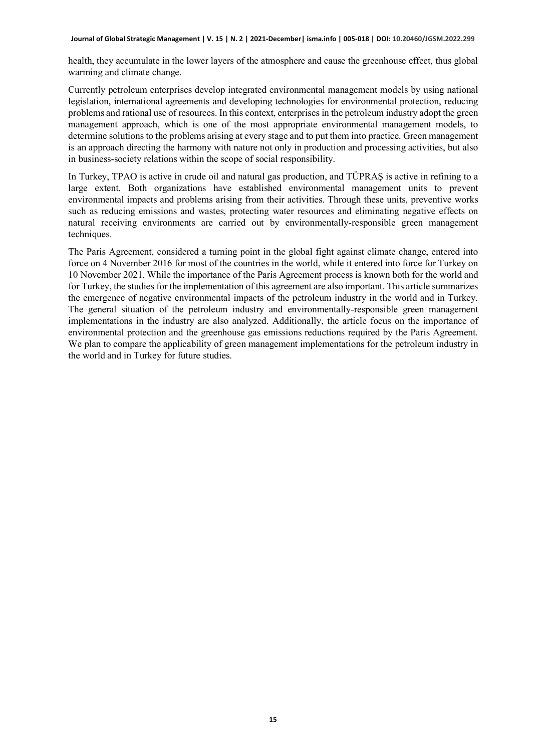health, they accumulate in the lower layers of the atmosphere and cause the greenhouse effect, thus global warming and climate change.

Currently petroleum enterprises develop integrated environmental management models by using national legislation, international agreements and developing technologies for environmental protection, reducing problems and rational use of resources. In this context, enterprises in the petroleum industry adopt the green management approach, which is one of the most appropriate environmental management models, to determine solutions to the problems arising at every stage and to put them into practice. Green management is an approach directing the harmony with nature not only in production and processing activities, but also in business-society relations within the scope of social responsibility.

In Turkey, TPAO is active in crude oil and natural gas production, and TÜPRAŞ is active in refining to a large extent. Both organizations have established environmental management units to prevent environmental impacts and problems arising from their activities. Through these units, preventive works such as reducing emissions and wastes, protecting water resources and eliminating negative effects on natural receiving environments are carried out by environmentally-responsible green management techniques.

The Paris Agreement, considered a turning point in the global fight against climate change, entered into force on 4 November 2016 for most of the countries in the world, while it entered into force for Turkey on 10 November 2021. While the importance of the Paris Agreement process is known both for the world and for Turkey, the studies for the implementation of this agreement are also important. This article summarizes the emergence of negative environmental impacts of the petroleum industry in the world and in Turkey. The general situation of the petroleum industry and environmentally-responsible green management implementations in the industry are also analyzed. Additionally, the article focus on the importance of environmental protection and the greenhouse gas emissions reductions required by the Paris Agreement. We plan to compare the applicability of green management implementations for the petroleum industry in the world and in Turkey for future studies.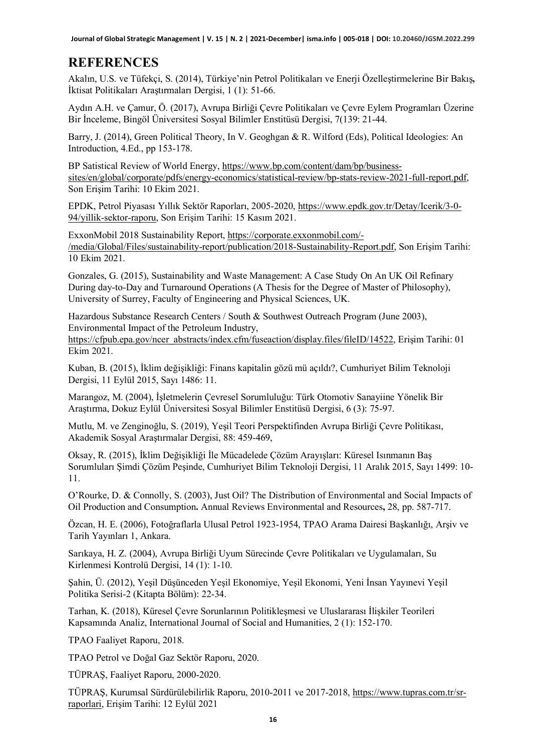**Journal of Global Strategic Management | V. 15 | N. 2 | 2021-December| isma.info | 005-018 | DOI: 10.20460/JGSM.2022.299**

# **REFERENCES**

Akalın, U.S. ve Tüfekçi, S. (2014), Türkiye'nin Petrol Politikaları ve Enerji Özelleştirmelerine Bir Bakış**,**  İktisat Politikaları Araştırmaları Dergisi, 1 (1): 51-66.

Aydın A.H. ve Çamur, Ö. (2017), Avrupa Birliği Çevre Politikaları ve Çevre Eylem Programları Üzerine Bir İnceleme, Bingöl Üniversitesi Sosyal Bilimler Enstitüsü Dergisi, 7(139: 21-44.

Barry, J. (2014), Green Political Theory, In V. Geoghgan & R. Wilford (Eds), Political Ideologies: An Introduction, 4.Ed., pp 153-178.

BP Satistical Review of World Energy[, https://www.bp.com/content/dam/bp/business](https://www.bp.com/content/dam/bp/business-sites/en/global/corporate/pdfs/energy-economics/statistical-review/bp-stats-review-2021-full-report.pdf)[sites/en/global/corporate/pdfs/energy-economics/statistical-review/bp-stats-review-2021-full-report.pdf,](https://www.bp.com/content/dam/bp/business-sites/en/global/corporate/pdfs/energy-economics/statistical-review/bp-stats-review-2021-full-report.pdf)  Son Erişim Tarihi: 10 Ekim 2021.

EPDK, Petrol Piyasası Yıllık Sektör Raporları, 2005-2020, [https://www.epdk.gov.tr/Detay/Icerik/3-0-](https://www.epdk.gov.tr/Detay/Icerik/3-0-94/yillik-sektor-raporu) [94/yillik-sektor-raporu](https://www.epdk.gov.tr/Detay/Icerik/3-0-94/yillik-sektor-raporu), Son Erişim Tarihi: 15 Kasım 2021.

ExxonMobil 2018 Sustainability Report, [https://corporate.exxonmobil.com/-](https://corporate.exxonmobil.com/-/media/Global/Files/sustainability-report/publication/2018-Sustainability-Report.pdf) [/media/Global/Files/sustainability-report/publication/2018-Sustainability-Report.pdf](https://corporate.exxonmobil.com/-/media/Global/Files/sustainability-report/publication/2018-Sustainability-Report.pdf), Son Erişim Tarihi: 10 Ekim 2021.

Gonzales, G. (2015), Sustainability and Waste Management: A Case Study On An UK Oil Refinary During day-to-Day and Turnaround Operations (A Thesis for the Degree of Master of Philosophy), University of Surrey, Faculty of Engineering and Physical Sciences, UK.

Hazardous Substance Research Centers / South & Southwest Outreach Program (June 2003), Environmental Impact of the Petroleum Industry,

[https://cfpub.epa.gov/ncer\\_abstracts/index.cfm/fuseaction/display.files/fileID/14522](https://cfpub.epa.gov/ncer_abstracts/index.cfm/fuseaction/display.files/fileID/14522), Erişim Tarihi: 01 Ekim 2021.

Kuban, B. (2015), İklim değişikliği: Finans kapitalin gözü mü açıldı?, Cumhuriyet Bilim Teknoloji Dergisi, 11 Eylül 2015, Sayı 1486: 11.

Marangoz, M. (2004), İşletmelerin Çevresel Sorumluluğu: Türk Otomotiv Sanayiine Yönelik Bir Araştırma, Dokuz Eylül Üniversitesi Sosyal Bilimler Enstitüsü Dergisi, 6 (3): 75-97.

Mutlu, M. ve Zenginoğlu, S. (2019), Yeşil Teori Perspektifinden Avrupa Birliği Çevre Politikası, Akademik Sosyal Araştırmalar Dergisi, 88: 459-469,

Oksay, R. (2015), İklim Değişikliği İle Mücadelede Çözüm Arayışları: Küresel Isınmanın Baş Sorumluları Şimdi Çözüm Peşinde, Cumhuriyet Bilim Teknoloji Dergisi, 11 Aralık 2015, Sayı 1499: 10- 11.

O'Rourke, D. & Connolly, S. (2003), Just Oil? The Distribution of Environmental and Social Impacts of Oil Production and Consumption**.** Annual Reviews Environmental and Resources**,** 28, pp. 587-717.

Özcan, H. E. (2006), Fotoğraflarla Ulusal Petrol 1923-1954, TPAO Arama Dairesi Başkanlığı, Arşiv ve Tarih Yayınları 1, Ankara.

Sarıkaya, H. Z. (2004), Avrupa Birliği Uyum Sürecinde Çevre Politikaları ve Uygulamaları, Su Kirlenmesi Kontrolü Dergisi, 14 (1): 1-10.

Şahin, Ü. (2012), Yeşil Düşünceden Yeşil Ekonomiye, Yeşil Ekonomi, Yeni İnsan Yayınevi Yeşil Politika Serisi-2 (Kitapta Bölüm): 22-34.

Tarhan, K. (2018), Küresel Çevre Sorunlarının Politikleşmesi ve Uluslararası İlişkiler Teorileri Kapsamında Analiz, International Journal of Social and Humanities, 2 (1): 152-170.

TPAO Faaliyet Raporu, 2018.

TPAO Petrol ve Doğal Gaz Sektör Raporu, 2020.

TÜPRAŞ, Faaliyet Raporu, 2000-2020.

TÜPRAŞ, Kurumsal Sürdürülebilirlik Raporu, 2010-2011 ve 2017-2018, [https://www.tupras.com.tr/sr](https://www.tupras.com.tr/sr-raporlari)[raporlari](https://www.tupras.com.tr/sr-raporlari), Erişim Tarihi: 12 Eylül 2021